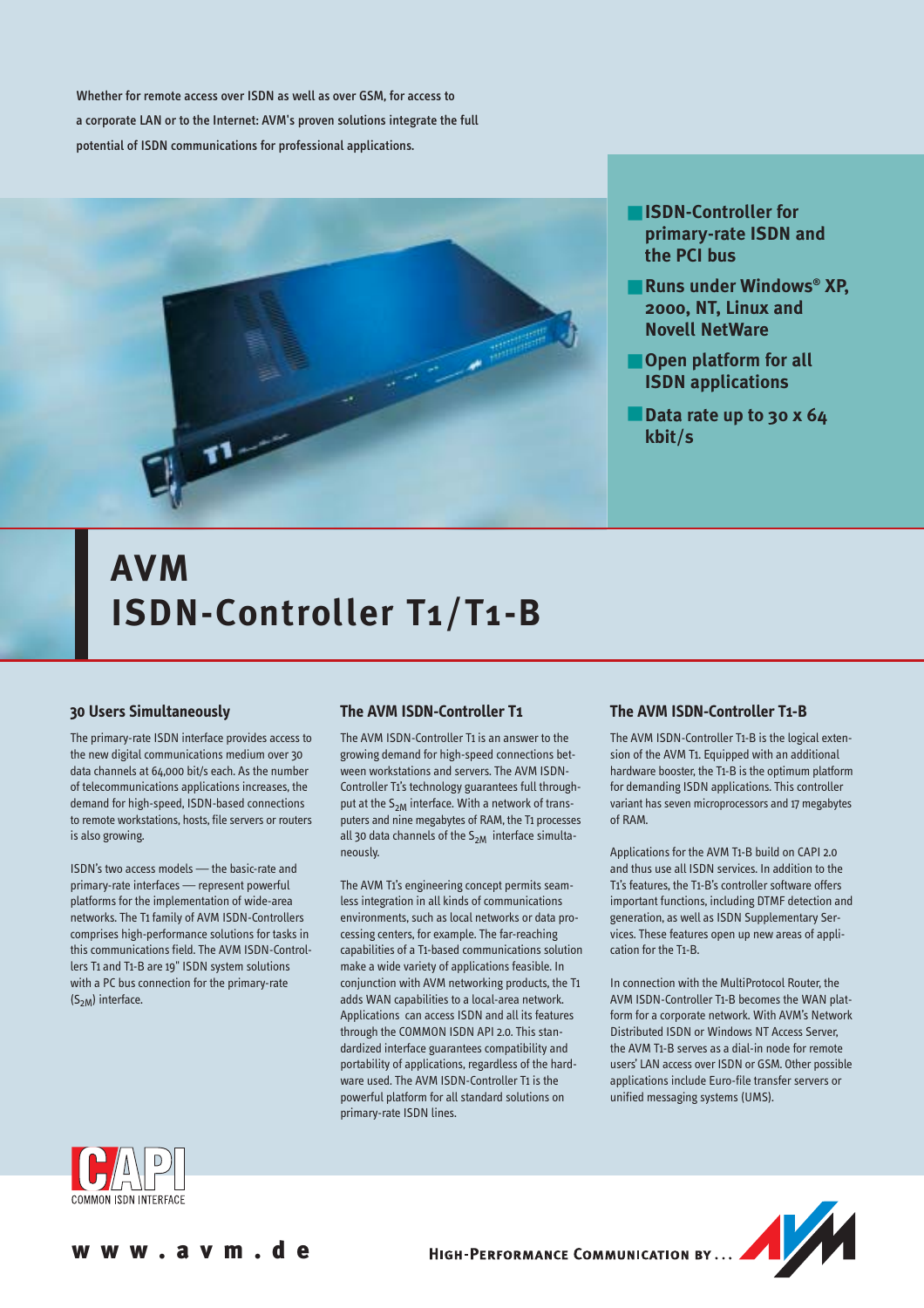Whether for remote access over ISDN as well as over GSM, for access to a corporate LAN or to the Internet: AVM's proven solutions integrate the full potential of ISDN communications for professional applications.



- **ISDN-Controller for primary-rate ISDN and the PCI bus**
- **Runs under Windows® XP, 2000, NT, Linux and Novell NetWare**
- Open platform for all **ISDN applications**
- **Data rate up to 30 x 64 kbit/s**

# **AVM ISDN-Controller T1/T1-B**

### **30 Users Simultaneously**

The primary-rate ISDN interface provides access to the new digital communications medium over 30 data channels at 64,000 bit/s each. As the number of telecommunications applications increases, the demand for high-speed, ISDN-based connections to remote workstations, hosts, file servers or routers is also growing.

ISDN's two access models — the basic-rate and primary-rate interfaces — represent powerful platforms for the implementation of wide-area networks. The T1 family of AVM ISDN-Controllers comprises high-performance solutions for tasks in this communications field. The AVM ISDN-Controllers T1 and T1-B are 19" ISDN system solutions with a PC bus connection for the primary-rate  $(S_{2M})$  interface.

## **The AVM ISDN-Controller T1**

The AVM ISDN-Controller T1 is an answer to the growing demand for high-speed connections between workstations and servers. The AVM ISDN-Controller T1's technology guarantees full throughput at the  $S_{2M}$  interface. With a network of transputers and nine megabytes of RAM, the T1 processes all 30 data channels of the  $S_{2M}$  interface simultaneously.

The AVM T1's engineering concept permits seamless integration in all kinds of communications environments, such as local networks or data processing centers, for example. The far-reaching capabilities of a T1-based communications solution make a wide variety of applications feasible. In conjunction with AVM networking products, the T1 adds WAN capabilities to a local-area network. Applications can access ISDN and all its features through the COMMON ISDN API 2.0. This standardized interface guarantees compatibility and portability of applications, regardless of the hardware used. The AVM ISDN-Controller T1 is the powerful platform for all standard solutions on primary-rate ISDN lines.

### **The AVM ISDN-Controller T1-B**

The AVM ISDN-Controller T1-B is the logical extension of the AVM T1. Equipped with an additional hardware booster, the T1-B is the optimum platform for demanding ISDN applications. This controller variant has seven microprocessors and 17 megabytes of RAM.

Applications for the AVM T1-B build on CAPI 2.0 and thus use all ISDN services. In addition to the T1's features, the T1-B's controller software offers important functions, including DTMF detection and generation, as well as ISDN Supplementary Services. These features open up new areas of application for the T1-B.

In connection with the MultiProtocol Router, the AVM ISDN-Controller T1-B becomes the WAN platform for a corporate network. With AVM's Network Distributed ISDN or Windows NT Access Server, the AVM T1-B serves as a dial-in node for remote users' LAN access over ISDN or GSM. Other possible applications include Euro-file transfer servers or unified messaging systems (UMS).